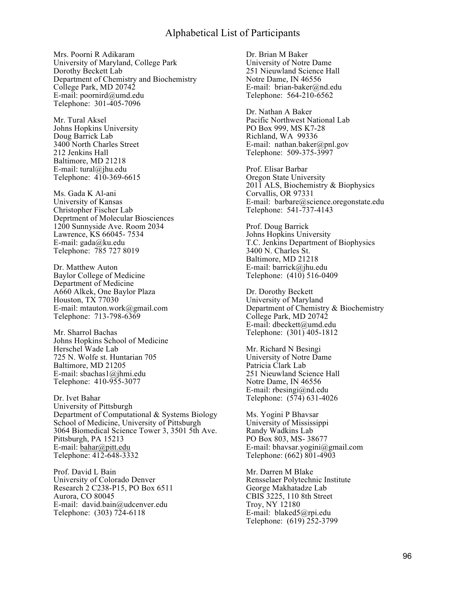Mrs. Poorni R Adikaram University of Maryland, College Park Dorothy Beckett Lab Department of Chemistry and Biochemistry College Park, MD 20742 E-mail: poornird@umd.edu Telephone: 301-405-7096

Mr. Tural Aksel Johns Hopkins University Doug Barrick Lab 3400 North Charles Street 212 Jenkins Hall Baltimore, MD 21218 E-mail: tural@jhu.edu Telephone: 410-369-6615

Ms. Gada K Al-ani University of Kansas Christopher Fischer Lab Deprtment of Molecular Biosciences 1200 Sunnyside Ave. Room 2034 Lawrence, KS 66045- 7534 E-mail: gada@ku.edu Telephone: 785 727 8019

Dr. Matthew Auton Baylor College of Medicine Department of Medicine A660 Alkek, One Baylor Plaza Houston, TX 77030 E-mail: mtauton.work@gmail.com Telephone: 713-798-6369

Mr. Sharrol Bachas Johns Hopkins School of Medicine Herschel Wade Lab 725 N. Wolfe st. Huntarian 705 Baltimore, MD 21205 E-mail: sbachas1@jhmi.edu Telephone: 410-955-3077

Dr. Ivet Bahar University of Pittsburgh Department of Computational & Systems Biology School of Medicine, University of Pittsburgh 3064 Biomedical Science Tower 3, 3501 5th Ave. Pittsburgh, PA 15213 E-mail: bahar@pitt.edu Telephone: 412-648-3332

Prof. David L Bain University of Colorado Denver Research 2 C238-P15, PO Box 6511 Aurora, CO 80045 E-mail: david.bain@udcenver.edu Telephone: (303) 724-6118

Dr. Brian M Baker University of Notre Dame 251 Nieuwland Science Hall Notre Dame, IN 46556 E-mail: brian-baker@nd.edu Telephone: 564-210-6562

Dr. Nathan A Baker Pacific Northwest National Lab PO Box 999, MS K7-28 Richland, WA 99336 E-mail: nathan.baker@pnl.gov Telephone: 509-375-3997

Prof. Elisar Barbar Oregon State University 2011 ALS, Biochemistry & Biophysics Corvallis, OR 97331 E-mail: barbare@science.oregonstate.edu Telephone: 541-737-4143

Prof. Doug Barrick Johns Hopkins University T.C. Jenkins Department of Biophysics 3400 N. Charles St. Baltimore, MD 21218 E-mail: barrick@jhu.edu Telephone: (410) 516-0409

Dr. Dorothy Beckett University of Maryland Department of Chemistry & Biochemistry College Park, MD 20742 E-mail: dbeckett@umd.edu Telephone: (301) 405-1812

Mr. Richard N Besingi University of Notre Dame Patricia Clark Lab 251 Nieuwland Science Hall Notre Dame, IN 46556 E-mail: rbesingi@nd.edu Telephone: (574) 631-4026

Ms. Yogini P Bhavsar University of Mississippi Randy Wadkins Lab PO Box 803, MS- 38677 E-mail: bhavsar.yogini@gmail.com Telephone: (662) 801-4903

Mr. Darren M Blake Rensselaer Polytechnic Institute George Makhatadze Lab CBIS 3225, 110 8th Street Troy, NY 12180 E-mail: blaked5@rpi.edu Telephone: (619) 252-3799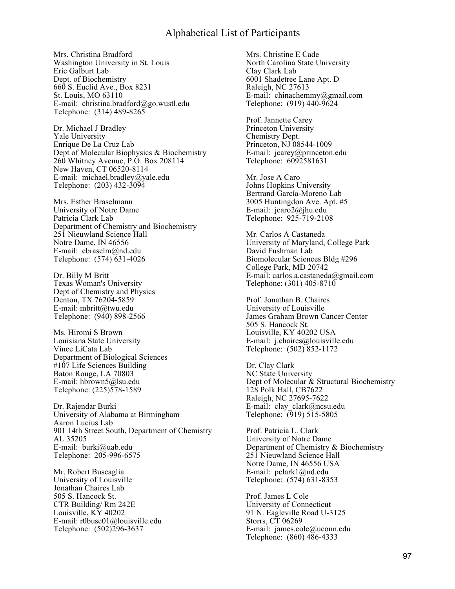Mrs. Christina Bradford Washington University in St. Louis Eric Galburt Lab Dept. of Biochemistry 660 S. Euclid Ave., Box 8231 St. Louis, MO 63110 E-mail: christina.bradford@go.wustl.edu Telephone: (314) 489-8265

Dr. Michael J Bradley Yale University Enrique De La Cruz Lab Dept of Molecular Biophysics & Biochemistry 260 Whitney Avenue, P.O. Box 208114 New Haven, CT 06520-8114 E-mail: michael.bradley@yale.edu Telephone: (203) 432-3094

Mrs. Esther Braselmann University of Notre Dame Patricia Clark Lab Department of Chemistry and Biochemistry 251 Nieuwland Science Hall Notre Dame, IN 46556 E-mail: ebraselm@nd.edu Telephone: (574) 631-4026

Dr. Billy M Britt Texas Woman's University Dept of Chemistry and Physics Denton, TX 76204-5859 E-mail: mbritt@twu.edu Telephone: (940) 898-2566

Ms. Hiromi S Brown Louisiana State University Vince LiCata Lab Department of Biological Sciences #107 Life Sciences Building Baton Rouge, LA 70803 E-mail: hbrown5@lsu.edu Telephone: (225)578-1589

Dr. Rajendar Burki University of Alabama at Birmingham Aaron Lucius Lab 901 14th Street South, Department of Chemistry AL 35205 E-mail: burki@uab.edu Telephone: 205-996-6575

Mr. Robert Buscaglia University of Louisville Jonathan Chaires Lab 505 S. Hancock St. CTR Building/ Rm 242E Louisville, KY 40202 E-mail: r0busc01@louisville.edu Telephone: (502)296-3637

Mrs. Christine E Cade North Carolina State University Clay Clark Lab 6001 Shadetree Lane Apt. D Raleigh, NC 27613 E-mail: chinachemmy@gmail.com Telephone: (919) 440-9624

Prof. Jannette Carey Princeton University Chemistry Dept. Princeton, NJ 08544-1009 E-mail: jcarey@princeton.edu Telephone: 6092581631

Mr. Jose A Caro Johns Hopkins University Bertrand García-Moreno Lab 3005 Huntingdon Ave. Apt. #5 E-mail: jcaro2@jhu.edu Telephone: 925-719-2108

Mr. Carlos A Castaneda University of Maryland, College Park David Fushman Lab Biomolecular Sciences Bldg #296 College Park, MD 20742 E-mail: carlos.a.castaneda@gmail.com Telephone: (301) 405-8710

Prof. Jonathan B. Chaires University of Louisville James Graham Brown Cancer Center 505 S. Hancock St. Louisville, KY 40202 USA E-mail: j.chaires@louisville.edu Telephone: (502) 852-1172

Dr. Clay Clark NC State University Dept of Molecular & Structural Biochemistry 128 Polk Hall, CB7622 Raleigh, NC 27695-7622 E-mail: clay\_clark@ncsu.edu Telephone: (919) 515-5805

Prof. Patricia L. Clark University of Notre Dame Department of Chemistry & Biochemistry 251 Nieuwland Science Hall Notre Dame, IN 46556 USA E-mail: pclark1@nd.edu Telephone: (574) 631-8353

Prof. James L Cole University of Connecticut 91 N. Eagleville Road U-3125 Storrs, CT 06269 E-mail: james.cole@uconn.edu Telephone: (860) 486-4333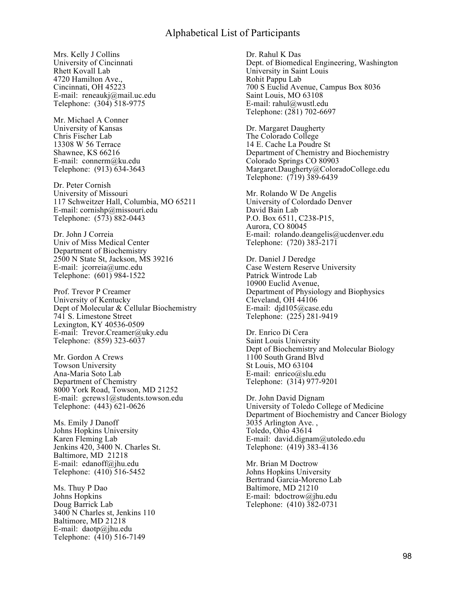Mrs. Kelly J Collins University of Cincinnati Rhett Kovall Lab 4720 Hamilton Ave., Cincinnati, OH 45223 E-mail: reneaukj@mail.uc.edu Telephone: (304) 518-9775

Mr. Michael A Conner University of Kansas Chris Fischer Lab 13308 W 56 Terrace Shawnee, KS 66216 E-mail: connerm@ku.edu Telephone: (913) 634-3643

Dr. Peter Cornish University of Missouri 117 Schweitzer Hall, Columbia, MO 65211 E-mail: cornishp@missouri.edu Telephone: (573) 882-0443

Dr. John J Correia Univ of Miss Medical Center Department of Biochemistry 2500 N State St, Jackson, MS 39216 E-mail: jcorreia@umc.edu Telephone: (601) 984-1522

Prof. Trevor P Creamer University of Kentucky Dept of Molecular & Cellular Biochemistry 741 S. Limestone Street Lexington, KY 40536-0509 E-mail: Trevor.Creamer@uky.edu Telephone: (859) 323-6037

Mr. Gordon A Crews Towson University Ana-Maria Soto Lab Department of Chemistry 8000 York Road, Towson, MD 21252 E-mail: gcrews1@students.towson.edu Telephone: (443) 621-0626

Ms. Emily J Danoff Johns Hopkins University Karen Fleming Lab Jenkins 420, 3400 N. Charles St. Baltimore, MD 21218 E-mail: edanoff@jhu.edu Telephone: (410) 516-5452

Ms. Thuy P Dao Johns Hopkins Doug Barrick Lab 3400 N Charles st, Jenkins 110 Baltimore, MD 21218 E-mail: daotp@jhu.edu Telephone: (410) 516-7149

Dr. Rahul K Das Dept. of Biomedical Engineering, Washington University in Saint Louis Rohit Pappu Lab 700 S Euclid Avenue, Campus Box 8036 Saint Louis, MO 63108 E-mail: rahul@wustl.edu Telephone: (281) 702-6697

Dr. Margaret Daugherty The Colorado College 14 E. Cache La Poudre St Department of Chemistry and Biochemistry Colorado Springs CO 80903 Margaret.Daugherty@ColoradoCollege.edu Telephone: (719) 389-6439

Mr. Rolando W De Angelis University of Colordado Denver David Bain Lab P.O. Box 6511, C238-P15, Aurora, CO 80045 E-mail: rolando.deangelis@ucdenver.edu Telephone: (720) 383-2171

Dr. Daniel J Deredge Case Western Reserve University Patrick Wintrode Lab 10900 Euclid Avenue, Department of Physiology and Biophysics Cleveland, OH 44106 E-mail: djd105@case.edu Telephone: (225) 281-9419

Dr. Enrico Di Cera Saint Louis University Dept of Biochemistry and Molecular Biology 1100 South Grand Blvd St Louis, MO 63104 E-mail: enrico@slu.edu Telephone: (314) 977-9201

Dr. John David Dignam University of Toledo College of Medicine Department of Biochemistry and Cancer Biology 3035 Arlington Ave. , Toledo, Ohio 43614 E-mail: david.dignam@utoledo.edu Telephone: (419) 383-4136

Mr. Brian M Doctrow Johns Hopkins University Bertrand Garcia-Moreno Lab Baltimore, MD 21210 E-mail: bdoctrow@jhu.edu Telephone: (410) 382-0731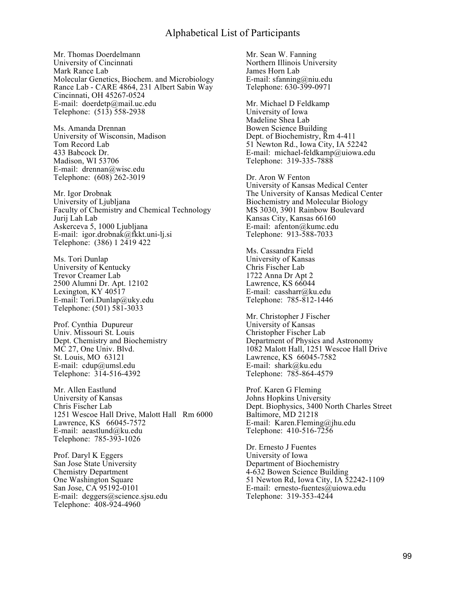Mr. Thomas Doerdelmann University of Cincinnati Mark Rance Lab Molecular Genetics, Biochem. and Microbiology Rance Lab - CARE 4864, 231 Albert Sabin Way Cincinnati, OH 45267-0524 E-mail: doerdetp@mail.uc.edu Telephone: (513) 558-2938

Ms. Amanda Drennan University of Wisconsin, Madison Tom Record Lab 433 Babcock Dr. Madison, WI 53706 E-mail: drennan@wisc.edu Telephone: (608) 262-3019

Mr. Igor Drobnak University of Ljubljana Faculty of Chemistry and Chemical Technology Jurij Lah Lab Askerceva 5, 1000 Ljubljana E-mail: igor.drobnak@fkkt.uni-lj.si Telephone: (386) 1 2419 422

Ms. Tori Dunlap University of Kentucky Trevor Creamer Lab 2500 Alumni Dr. Apt. 12102 Lexington, KY 40517 E-mail: Tori.Dunlap@uky.edu Telephone: (501) 581-3033

Prof. Cynthia Dupureur Univ. Missouri St. Louis Dept. Chemistry and Biochemistry MC 27, One Univ. Blvd. St. Louis, MO 63121 E-mail: cdup@umsl.edu Telephone: 314-516-4392

Mr. Allen Eastlund University of Kansas Chris Fischer Lab 1251 Wescoe Hall Drive, Malott Hall Rm 6000 Lawrence, KS 66045-7572 E-mail: aeastlund@ku.edu Telephone: 785-393-1026

Prof. Daryl K Eggers San Jose State University Chemistry Department One Washington Square San Jose, CA 95192-0101 E-mail: deggers@science.sjsu.edu Telephone: 408-924-4960

Mr. Sean W. Fanning Northern Illinois University James Horn Lab E-mail: sfanning@niu.edu Telephone: 630-399-0971

Mr. Michael D Feldkamp University of Iowa Madeline Shea Lab Bowen Science Building Dept. of Biochemistry, Rm 4-411 51 Newton Rd., Iowa City, IA 52242 E-mail: michael-feldkamp@uiowa.edu Telephone: 319-335-7888

Dr. Aron W Fenton University of Kansas Medical Center The University of Kansas Medical Center Biochemistry and Molecular Biology MS 3030, 3901 Rainbow Boulevard Kansas City, Kansas 66160 E-mail: afenton@kumc.edu Telephone: 913-588-7033

Ms. Cassandra Field University of Kansas Chris Fischer Lab 1722 Anna Dr Apt 2 Lawrence, KS  $66044$ E-mail: cassharr@ku.edu Telephone: 785-812-1446

Mr. Christopher J Fischer University of Kansas Christopher Fischer Lab Department of Physics and Astronomy 1082 Malott Hall, 1251 Wescoe Hall Drive Lawrence, KS 66045-7582 E-mail: shark@ku.edu Telephone: 785-864-4579

Prof. Karen G Fleming Johns Hopkins University Dept. Biophysics, 3400 North Charles Street Baltimore, MD 21218 E-mail: Karen.Fleming@jhu.edu Telephone: 410-516-7256

Dr. Ernesto J Fuentes University of Iowa Department of Biochemistry 4-632 Bowen Science Building 51 Newton Rd, Iowa City, IA 52242-1109 E-mail: ernesto-fuentes@uiowa.edu Telephone: 319-353-4244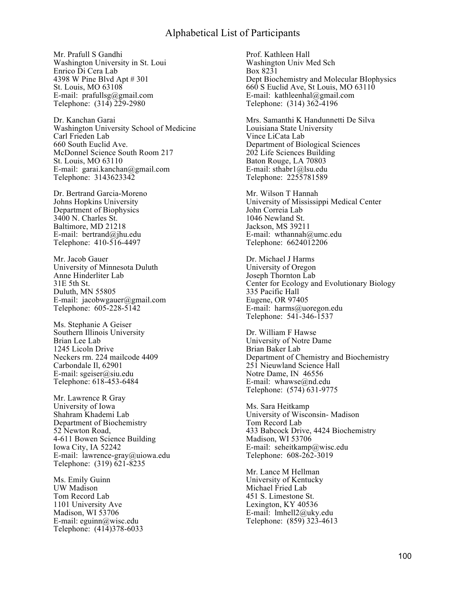Mr. Prafull S Gandhi Washington University in St. Loui Enrico Di Cera Lab 4398 W Pine Blvd Apt # 301 St. Louis, MO 63108 E-mail:  $prafullsg@gmail.com$ Telephone: (314) 229-2980

Dr. Kanchan Garai Washington University School of Medicine Carl Frieden Lab 660 South Euclid Ave. McDonnel Science South Room 217 St. Louis, MO 63110 E-mail: garai.kanchan@gmail.com Telephone: 3143623342

Dr. Bertrand Garcia-Moreno Johns Hopkins University Department of Biophysics 3400 N. Charles St. Baltimore, MD 21218 E-mail: bertrand@jhu.edu Telephone: 410-516-4497

Mr. Jacob Gauer University of Minnesota Duluth Anne Hinderliter Lab 31E 5th St. Duluth, MN 55805 E-mail: jacobwgauer@gmail.com Telephone: 605-228-5142

Ms. Stephanie A Geiser Southern Illinois University Brian Lee Lab 1245 Licoln Drive Neckers rm. 224 mailcode 4409 Carbondale Il, 62901 E-mail: sgeiser@siu.edu Telephone: 618-453-6484

Mr. Lawrence R Gray University of Iowa Shahram Khademi Lab Department of Biochemistry 52 Newton Road, 4-611 Bowen Science Building Iowa City, IA 52242 E-mail: lawrence-gray@uiowa.edu Telephone: (319) 621-8235

Ms. Emily Guinn UW Madison Tom Record Lab 1101 University Ave Madison, WI 53706 E-mail: eguinn@wisc.edu Telephone: (414)378-6033 Prof. Kathleen Hall Washington Univ Med Sch Box 8231 Dept Biochemistry and Molecular BIophysics 660 S Euclid Ave, St Louis, MO 63110 E-mail: kathleenhal@gmail.com Telephone: (314) 362-4196

Mrs. Samanthi K Handunnetti De Silva Louisiana State University Vince LiCata Lab Department of Biological Sciences 202 Life Sciences Building Baton Rouge, LA 70803 E-mail: sthabr1@lsu.edu Telephone: 2255781589

Mr. Wilson T Hannah University of Mississippi Medical Center John Correia Lab 1046 Newland St. Jackson, MS 39211 E-mail: wthannah@umc.edu Telephone: 6624012206

Dr. Michael J Harms University of Oregon Joseph Thornton Lab Center for Ecology and Evolutionary Biology 335 Pacific Hall Eugene, OR 97405 E-mail: harms@uoregon.edu Telephone: 541-346-1537

Dr. William F Hawse University of Notre Dame Brian Baker Lab Department of Chemistry and Biochemistry 251 Nieuwland Science Hall Notre Dame, IN 46556 E-mail: whawse@nd.edu Telephone: (574) 631-9775

Ms. Sara Heitkamp University of Wisconsin- Madison Tom Record Lab 433 Babcock Drive, 4424 Biochemistry Madison, WI 53706 E-mail: seheitkamp@wisc.edu Telephone: 608-262-3019

Mr. Lance M Hellman University of Kentucky Michael Fried Lab 451 S. Limestone St. Lexington, KY 40536 E-mail:  $lmhell2@uky.edu$ Telephone: (859) 323-4613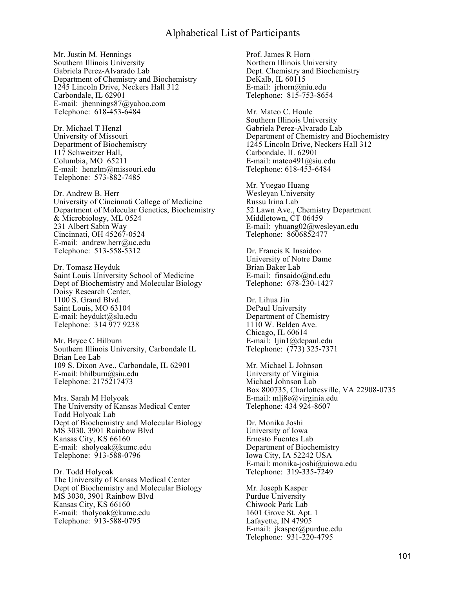Mr. Justin M. Hennings Southern Illinois University Gabriela Perez-Alvarado Lab Department of Chemistry and Biochemistry 1245 Lincoln Drive, Neckers Hall 312 Carbondale, IL 62901 E-mail: jhennings87@yahoo.com Telephone: 618-453-6484

Dr. Michael T Henzl University of Missouri Department of Biochemistry 117 Schweitzer Hall, Columbia, MO 65211 E-mail: henzlm@missouri.edu Telephone: 573-882-7485

Dr. Andrew B. Herr University of Cincinnati College of Medicine Department of Molecular Genetics, Biochemistry & Microbiology, ML 0524 231 Albert Sabin Way Cincinnati, OH 45267-0524 E-mail: andrew.herr@uc.edu Telephone: 513-558-5312

Dr. Tomasz Heyduk Saint Louis University School of Medicine Dept of Biochemistry and Molecular Biology Doisy Research Center, 1100 S. Grand Blvd. Saint Louis, MO 63104 E-mail: heydukt@slu.edu Telephone: 314 977 9238

Mr. Bryce C Hilburn Southern Illinois University, Carbondale IL Brian Lee Lab 109 S. Dixon Ave., Carbondale, IL 62901 E-mail: bhilburn@siu.edu Telephone: 2175217473

Mrs. Sarah M Holyoak The University of Kansas Medical Center Todd Holyoak Lab Dept of Biochemistry and Molecular Biology MS 3030, 3901 Rainbow Blvd Kansas City, KS 66160 E-mail: sholyoak@kumc.edu Telephone: 913-588-0796

Dr. Todd Holyoak The University of Kansas Medical Center Dept of Biochemistry and Molecular Biology MS 3030, 3901 Rainbow Blvd Kansas City, KS 66160 E-mail: tholyoak@kumc.edu Telephone: 913-588-0795

Prof. James R Horn Northern Illinois University Dept. Chemistry and Biochemistry DeKalb, IL 60115 E-mail: jrhorn@niu.edu Telephone: 815-753-8654

Mr. Mateo C. Houle Southern Illinois University Gabriela Perez-Alvarado Lab Department of Chemistry and Biochemistry 1245 Lincoln Drive, Neckers Hall 312 Carbondale, IL 62901 E-mail: mateo491@siu.edu Telephone: 618-453-6484

Mr. Yuegao Huang Wesleyan University Russu Irina Lab 52 Lawn Ave., Chemistry Department Middletown, CT 06459 E-mail: yhuang02@wesleyan.edu Telephone: 8606852477

Dr. Francis K Insaidoo University of Notre Dame Brian Baker Lab E-mail: finsaido@nd.edu Telephone: 678-230-1427

Dr. Lihua Jin DePaul University Department of Chemistry 1110 W. Belden Ave. Chicago, IL 60614 E-mail: ljin1@depaul.edu Telephone: (773) 325-7371

Mr. Michael L Johnson University of Virginia Michael Johnson Lab Box 800735, Charlottesville, VA 22908-0735 E-mail: mlj8e@virginia.edu Telephone: 434 924-8607

Dr. Monika Joshi University of Iowa Ernesto Fuentes Lab Department of Biochemistry Iowa City, IA 52242 USA E-mail: monika-joshi@uiowa.edu Telephone: 319-335-7249

Mr. Joseph Kasper Purdue University Chiwook Park Lab 1601 Grove St. Apt. 1 Lafayette, IN 47905 E-mail: jkasper@purdue.edu Telephone: 931-220-4795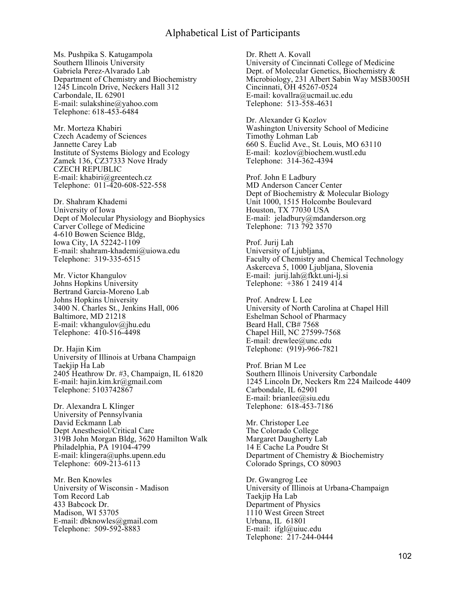Ms. Pushpika S. Katugampola Southern Illinois University Gabriela Perez-Alvarado Lab Department of Chemistry and Biochemistry 1245 Lincoln Drive, Neckers Hall 312 Carbondale, IL 62901 E-mail: sulakshine@yahoo.com Telephone: 618-453-6484

Mr. Morteza Khabiri Czech Academy of Sciences Jannette Carey Lab Institute of Systems Biology and Ecology Zamek 136, CZ37333 Nove Hrady CZECH REPUBLIC E-mail: khabiri@greentech.cz Telephone: 011-420-608-522-558

Dr. Shahram Khademi University of Iowa Dept of Molecular Physiology and Biophysics Carver College of Medicine 4-610 Bowen Science Bldg, Iowa City, IA 52242-1109 E-mail: shahram-khademi@uiowa.edu Telephone: 319-335-6515

Mr. Victor Khangulov Johns Hopkins University Bertrand Garcia-Moreno Lab Johns Hopkins University 3400 N. Charles St., Jenkins Hall, 006 Baltimore, MD 21218 E-mail: vkhangulov@jhu.edu Telephone: 410-516-4498

Dr. Hajin Kim University of Illinois at Urbana Champaign Taekjip Ha Lab 2405 Heathrow Dr. #3, Champaign, IL 61820 E-mail: hajin.kim.kr@gmail.com Telephone: 5103742867

Dr. Alexandra L Klinger University of Pennsylvania David Eckmann Lab Dept Anesthesiol/Critical Care 319B John Morgan Bldg, 3620 Hamilton Walk Philadelphia, PA 19104-4799 E-mail: klingera@uphs.upenn.edu Telephone: 609-213-6113

Mr. Ben Knowles University of Wisconsin - Madison Tom Record Lab 433 Babcock Dr. Madison, WI 53705 E-mail: dbknowles@gmail.com Telephone: 509-592-8883

Dr. Rhett A. Kovall University of Cincinnati College of Medicine Dept. of Molecular Genetics, Biochemistry & Microbiology, 231 Albert Sabin Way MSB3005H Cincinnati, OH 45267-0524 E-mail: kovallra@ucmail.uc.edu Telephone: 513-558-4631

Dr. Alexander G Kozlov Washington University School of Medicine Timothy Lohman Lab 660 S. Euclid Ave., St. Louis, MO 63110 E-mail: kozlov@biochem.wustl.edu Telephone: 314-362-4394

Prof. John E Ladbury MD Anderson Cancer Center Dept of Biochemistry & Molecular Biology Unit 1000, 1515 Holcombe Boulevard Houston, TX 77030 USA E-mail: jeladbury@mdanderson.org Telephone: 713 792 3570

Prof. Jurij Lah University of Ljubljana, Faculty of Chemistry and Chemical Technology Askerceva 5, 1000 Ljubljana, Slovenia E-mail: jurij.lah@fkkt.uni-lj.si Telephone: +386 1 2419 414

Prof. Andrew L Lee University of North Carolina at Chapel Hill Eshelman School of Pharmacy Beard Hall, CB# 7568 Chapel Hill, NC 27599-7568 E-mail: drewlee@unc.edu Telephone: (919)-966-7821

Prof. Brian M Lee Southern Illinois University Carbondale 1245 Lincoln Dr, Neckers Rm 224 Mailcode 4409 Carbondale, IL 62901 E-mail: brianlee@siu.edu Telephone: 618-453-7186

Mr. Christoper Lee The Colorado College Margaret Daugherty Lab 14 E Cache La Poudre St Department of Chemistry & Biochemistry Colorado Springs, CO 80903

Dr. Gwangrog Lee University of Illinois at Urbana-Champaign Taekjip Ha Lab Department of Physics 1110 West Green Street Urbana, IL 61801 E-mail: ifgl@uiuc.edu Telephone: 217-244-0444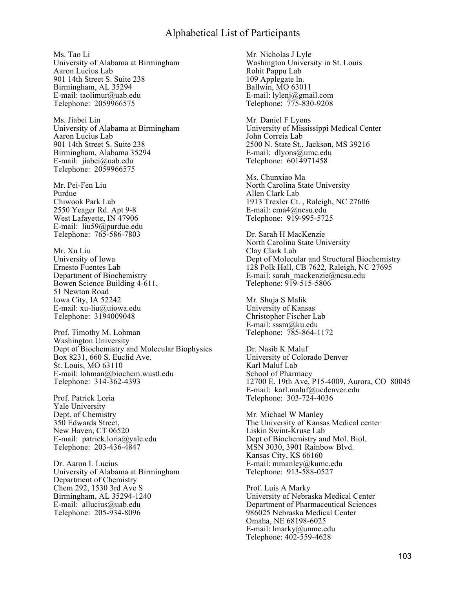Ms. Tao Li University of Alabama at Birmingham Aaron Lucius Lab 901 14th Street S. Suite 238 Birmingham, AL 35294 E-mail: taolimur@uab.edu Telephone: 2059966575

Ms. Jiabei Lin University of Alabama at Birmingham Aaron Lucius Lab 901 14th Street S. Suite 238 Birmingham, Alabama 35294 E-mail: jiabei@uab.edu Telephone: 2059966575

Mr. Pei-Fen Liu Purdue Chiwook Park Lab 2550 Yeager Rd. Apt 9-8 West Lafayette, IN 47906 E-mail: liu59@purdue.edu Telephone: 765-586-7803

Mr. Xu Liu University of Iowa Ernesto Fuentes Lab Department of Biochemistry Bowen Science Building 4-611, 51 Newton Road Iowa City, IA 52242 E-mail: xu-liu@uiowa.edu Telephone: 3194009048

Prof. Timothy M. Lohman Washington University Dept of Biochemistry and Molecular Biophysics Box 8231, 660 S. Euclid Ave. St. Louis, MO 63110 E-mail: lohman@biochem.wustl.edu Telephone: 314-362-4393

Prof. Patrick Loria Yale University Dept. of Chemistry 350 Edwards Street, New Haven, CT 06520 E-mail: patrick.loria@yale.edu Telephone: 203-436-4847

Dr. Aaron L Lucius University of Alabama at Birmingham Department of Chemistry Chem 292, 1530 3rd Ave S Birmingham, AL 35294-1240 E-mail: allucius@uab.edu Telephone: 205-934-8096

Mr. Nicholas J Lyle Washington University in St. Louis Rohit Pappu Lab 109 Applegate ln. Ballwin, MO 63011 E-mail: lylenj@gmail.com Telephone: 775-830-9208

Mr. Daniel F Lyons University of Mississippi Medical Center John Correia Lab 2500 N. State St., Jackson, MS 39216 E-mail: dlyons@umc.edu Telephone: 6014971458

Ms. Chunxiao Ma North Carolina State University Allen Clark Lab 1913 Trexler Ct. , Raleigh, NC 27606 E-mail: cma4@ncsu.edu Telephone: 919-995-5725

Dr. Sarah H MacKenzie North Carolina State University Clay Clark Lab Dept of Molecular and Structural Biochemistry 128 Polk Hall, CB 7622, Raleigh, NC 27695 E-mail: sarah\_mackenzie@ncsu.edu Telephone:  $9\overline{1}9 - 515 - 5806$ 

Mr. Shuja S Malik University of Kansas Christopher Fischer Lab E-mail: sssm@ku.edu Telephone: 785-864-1172

Dr. Nasib K Maluf University of Colorado Denver Karl Maluf Lab School of Pharmacy 12700 E. 19th Ave, P15-4009, Aurora, CO 80045 E-mail: karl.maluf@ucdenver.edu Telephone: 303-724-4036

Mr. Michael W Manley The University of Kansas Medical center Liskin Swint-Kruse Lab Dept of Biochemistry and Mol. Biol. MSN 3030, 3901 Rainbow Blvd. Kansas City, KS 66160 E-mail: mmanley@kumc.edu Telephone: 913-588-0527

Prof. Luis A Marky University of Nebraska Medical Center Department of Pharmaceutical Sciences 986025 Nebraska Medical Center Omaha, NE 68198-6025 E-mail: lmarky@unmc.edu Telephone: 402-559-4628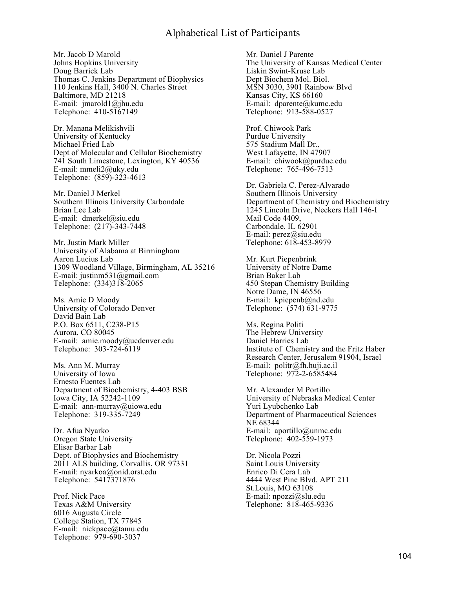Mr. Jacob D Marold Johns Hopkins University Doug Barrick Lab Thomas C. Jenkins Department of Biophysics 110 Jenkins Hall, 3400 N. Charles Street Baltimore, MD 21218 E-mail: jmarold1@jhu.edu Telephone: 410-5167149

Dr. Manana Melikishvili University of Kentucky Michael Fried Lab Dept of Molecular and Cellular Biochemistry 741 South Limestone, Lexington, KY 40536 E-mail: mmeli2@uky.edu Telephone: (859)-323-4613

Mr. Daniel J Merkel Southern Illinois University Carbondale Brian Lee Lab E-mail: dmerkel@siu.edu Telephone: (217)-343-7448

Mr. Justin Mark Miller University of Alabama at Birmingham Aaron Lucius Lab 1309 Woodland Village, Birmingham, AL 35216 E-mail: justinm531@gmail.com Telephone: (334)318-2065

Ms. Amie D Moody University of Colorado Denver David Bain Lab P.O. Box 6511, C238-P15 Aurora, CO 80045 E-mail: amie.moody@ucdenver.edu Telephone: 303-724-6119

Ms. Ann M. Murray University of Iowa Ernesto Fuentes Lab Department of Biochemistry, 4-403 BSB Iowa City, IA 52242-1109 E-mail: ann-murray@uiowa.edu Telephone: 319-335-7249

Dr. Afua Nyarko Oregon State University Elisar Barbar Lab Dept. of Biophysics and Biochemistry 2011 ALS building, Corvallis, OR 97331 E-mail: nyarkoa@onid.orst.edu Telephone: 5417371876

Prof. Nick Pace Texas A&M University 6016 Augusta Circle College Station, TX 77845 E-mail: nickpace@tamu.edu Telephone: 979-690-3037

Mr. Daniel J Parente The University of Kansas Medical Center Liskin Swint-Kruse Lab Dept Biochem Mol. Biol. MSN 3030, 3901 Rainbow Blvd Kansas City, KS 66160 E-mail: dparente@kumc.edu Telephone: 913-588-0527

Prof. Chiwook Park Purdue University 575 Stadium Mall Dr., West Lafayette, IN 47907 E-mail: chiwook@purdue.edu Telephone: 765-496-7513

Dr. Gabriela C. Perez-Alvarado Southern Illinois University Department of Chemistry and Biochemistry 1245 Lincoln Drive, Neckers Hall 146-I Mail Code 4409, Carbondale, IL 62901 E-mail: perez@siu.edu Telephone: 618-453-8979

Mr. Kurt Piepenbrink University of Notre Dame Brian Baker Lab 450 Stepan Chemistry Building Notre Dame, IN 46556 E-mail: kpiepenb@nd.edu Telephone: (574) 631-9775

Ms. Regina Politi The Hebrew University Daniel Harries Lab Institute of Chemistry and the Fritz Haber Research Center, Jerusalem 91904, Israel E-mail: politr@fh.huji.ac.il Telephone: 972-2-6585484

Mr. Alexander M Portillo University of Nebraska Medical Center Yuri Lyubchenko Lab Department of Pharmaceutical Sciences NE 68344 E-mail: aportillo@unmc.edu Telephone: 402-559-1973

Dr. Nicola Pozzi Saint Louis University Enrico Di Cera Lab 4444 West Pine Blvd. APT 211 St.Louis, MO 63108 E-mail: npozzi@slu.edu Telephone: 818-465-9336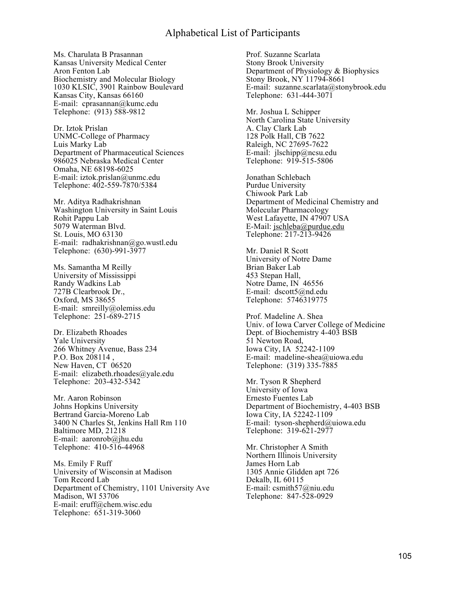Ms. Charulata B Prasannan Kansas University Medical Center Aron Fenton Lab Biochemistry and Molecular Biology 1030 KLSIC, 3901 Rainbow Boulevard Kansas City, Kansas 66160 E-mail: cprasannan@kumc.edu Telephone: (913) 588-9812

Dr. Iztok Prislan UNMC-College of Pharmacy Luis Marky Lab Department of Pharmaceutical Sciences 986025 Nebraska Medical Center Omaha, NE 68198-6025 E-mail: iztok.prislan@unmc.edu Telephone: 402-559-7870/5384

Mr. Aditya Radhakrishnan Washington University in Saint Louis Rohit Pappu Lab 5079 Waterman Blvd. St. Louis, MO 63130 E-mail: radhakrishnan@go.wustl.edu Telephone: (630)-991-3977

Ms. Samantha M Reilly University of Mississippi Randy Wadkins Lab 727B Clearbrook Dr., Oxford, MS 38655 E-mail: smreilly@olemiss.edu Telephone: 251-689-2715

Dr. Elizabeth Rhoades Yale University 266 Whitney Avenue, Bass 234 P.O. Box 208114. New Haven, CT 06520 E-mail: elizabeth.rhoades@yale.edu Telephone: 203-432-5342

Mr. Aaron Robinson Johns Hopkins University Bertrand Garcia-Moreno Lab 3400 N Charles St, Jenkins Hall Rm 110 Baltimore MD, 21218 E-mail: aaronrob@jhu.edu Telephone: 410-516-44968

Ms. Emily F Ruff University of Wisconsin at Madison Tom Record Lab Department of Chemistry, 1101 University Ave Madison, WI 53706 E-mail: eruff@chem.wisc.edu Telephone: 651-319-3060

Prof. Suzanne Scarlata Stony Brook University Department of Physiology & Biophysics Stony Brook, NY 11794-8661 E-mail: suzanne.scarlata@stonybrook.edu Telephone: 631-444-3071

Mr. Joshua L Schipper North Carolina State University A. Clay Clark Lab 128 Polk Hall, CB 7622 Raleigh, NC 27695-7622 E-mail:  $ilschipp@ncsu.edu$ Telephone: 919-515-5806

Jonathan Schlebach Purdue University Chiwook Park Lab Department of Medicinal Chemistry and Molecular Pharmacology West Lafayette, IN 47907 USA E-Mail: jschleba@purdue.edu Telephone: 217-213-9426

Mr. Daniel R Scott University of Notre Dame Brian Baker Lab 453 Stepan Hall, Notre Dame, IN 46556 E-mail: dscott5@nd.edu Telephone: 5746319775

Prof. Madeline A. Shea Univ. of Iowa Carver College of Medicine Dept. of Biochemistry 4-403 BSB 51 Newton Road, Iowa City, IA 52242-1109 E-mail: madeline-shea@uiowa.edu Telephone: (319) 335-7885

Mr. Tyson R Shepherd University of Iowa Ernesto Fuentes Lab Department of Biochemistry, 4-403 BSB Iowa City, IA 52242-1109 E-mail: tyson-shepherd@uiowa.edu Telephone: 319-621-2977

Mr. Christopher A Smith Northern Illinois University James Horn Lab 1305 Annie Glidden apt 726 Dekalb, IL 60115 E-mail: csmith57@niu.edu Telephone: 847-528-0929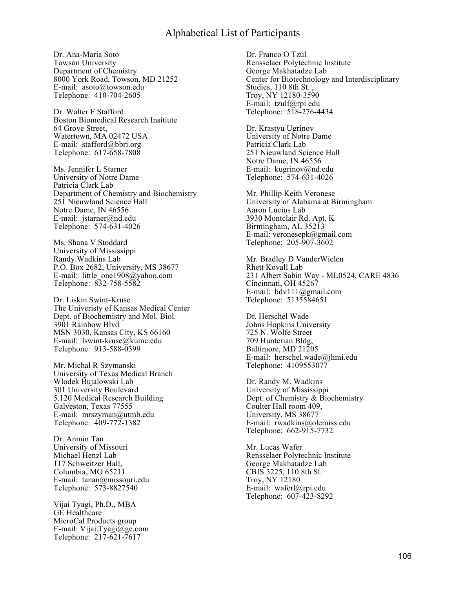Dr. Ana-Maria Soto Towson University Department of Chemistry 8000 York Road, Towson, MD 21252 E-mail: asoto@towson.edu Telephone: 410-704-2605

Dr. Walter F Stafford Boston Biomedical Research Insitiute 64 Grove Street, Watertown, MA 02472 USA E-mail: stafford@bbri.org Telephone: 617-658-7808

Ms. Jennifer L Starner University of Notre Dame Patricia Clark Lab Department of Chemistry and Biochemistry 251 Nieuwland Science Hall Notre Dame, IN 46556 E-mail: jstarner@nd.edu Telephone: 574-631-4026

Ms. Shana V Stoddard University of Mississippi Randy Wadkins Lab P.O. Box 2682, University, MS 38677 E-mail: little\_one1908@yahoo.com Telephone: 832-758-5582

Dr. Liskin Swint-Kruse The Univeristy of Kansas Medical Center Dept. of Biochemistry and Mol. Biol. 3901 Rainbow Blvd MSN 3030, Kansas City, KS 66160 E-mail: lswint-kruse@kumc.edu Telephone: 913-588-0399

Mr. Michal R Szymanski University of Texas Medical Branch Wlodek Bujalowski Lab 301 University Boulevard 5.120 Medical Research Building Galveston, Texas 77555 E-mail: mrszyman@utmb.edu Telephone: 409-772-1382

Dr. Anmin Tan University of Missouri Michael Henzl Lab 117 Schweitzer Hall, Columbia, MO 65211 E-mail: tanan@missouri.edu Telephone: 573-8827540

Vijai Tyagi, Ph.D., MBA GE Healthcare MicroCal Products group E-mail: Vijai.Tyagi@ge.com Telephone: 217-621-7617

Dr. Franco O Tzul Rensselaer Polytechnic Institute George Makhatadze Lab Center for Biotechnology and Interdisciplinary Studies, 110 8th St. , Troy, NY 12180-3590 E-mail: tzulf@rpi.edu Telephone: 518-276-4434

Dr. Krastyu Ugrinov University of Notre Dame Patricia Clark Lab 251 Nieuwland Science Hall Notre Dame, IN 46556 E-mail: kugrinov@nd.edu Telephone: 574-631-4026

Mr. Phillip Keith Veronese University of Alabama at Birmingham Aaron Lucius Lab 3930 Montclair Rd. Apt. K Birmingham, AL 35213 E-mail: veronesepk@gmail.com Telephone: 205-907-3602

Mr. Bradley D VanderWielen Rhett Kovall Lab 231 Albert Sabin Way - ML0524, CARE 4836 Cincinnati, OH 45267 E-mail: bdv111@gmail.com Telephone: 5135584651

Dr. Herschel Wade Johns Hopkins University 725 N. Wolfe Street 709 Hunterian Bldg, Baltimore, MD 21205 E-mail: herschel.wade@jhmi.edu Telephone: 4109553077

Dr. Randy M. Wadkins University of Mississippi Dept. of Chemistry & Biochemistry Coulter Hall room 409, University, MS 38677 E-mail: rwadkins@olemiss.edu Telephone: 662-915-7732

Mr. Lucas Wafer Rensselaer Polytechnic Institute George Makhatadze Lab CBIS 3225, 110 8th St. Troy, NY 12180 E-mail: waferl@rpi.edu Telephone: 607-423-8292